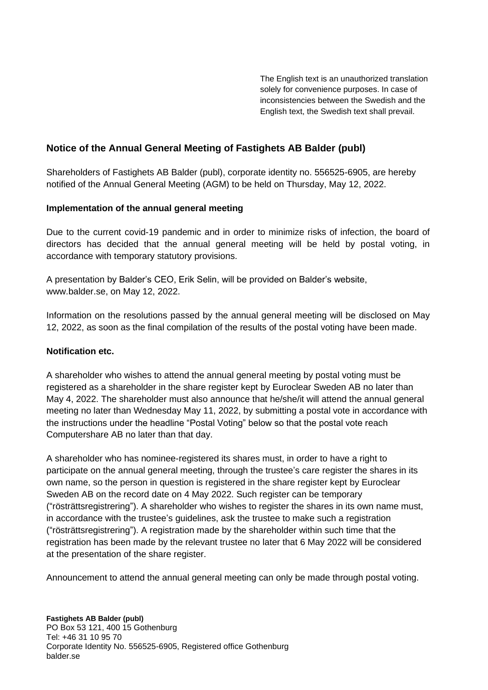The English text is an unauthorized translation solely for convenience purposes. In case of inconsistencies between the Swedish and the English text, the Swedish text shall prevail.

# **Notice of the Annual General Meeting of Fastighets AB Balder (publ)**

Shareholders of Fastighets AB Balder (publ), corporate identity no. 556525-6905, are hereby notified of the Annual General Meeting (AGM) to be held on Thursday, May 12, 2022.

# **Implementation of the annual general meeting**

Due to the current covid-19 pandemic and in order to minimize risks of infection, the board of directors has decided that the annual general meeting will be held by postal voting, in accordance with temporary statutory provisions.

A presentation by Balder's CEO, Erik Selin, will be provided on Balder's website, www.balder.se, on May 12, 2022.

Information on the resolutions passed by the annual general meeting will be disclosed on May 12, 2022, as soon as the final compilation of the results of the postal voting have been made.

# **Notification etc.**

A shareholder who wishes to attend the annual general meeting by postal voting must be registered as a shareholder in the share register kept by Euroclear Sweden AB no later than May 4, 2022. The shareholder must also announce that he/she/it will attend the annual general meeting no later than Wednesday May 11, 2022, by submitting a postal vote in accordance with the instructions under the headline "Postal Voting" below so that the postal vote reach Computershare AB no later than that day.

A shareholder who has nominee-registered its shares must, in order to have a right to participate on the annual general meeting, through the trustee's care register the shares in its own name, so the person in question is registered in the share register kept by Euroclear Sweden AB on the record date on 4 May 2022. Such register can be temporary ("rösträttsregistrering"). A shareholder who wishes to register the shares in its own name must, in accordance with the trustee's guidelines, ask the trustee to make such a registration ("rösträttsregistrering"). A registration made by the shareholder within such time that the registration has been made by the relevant trustee no later that 6 May 2022 will be considered at the presentation of the share register.

Announcement to attend the annual general meeting can only be made through postal voting.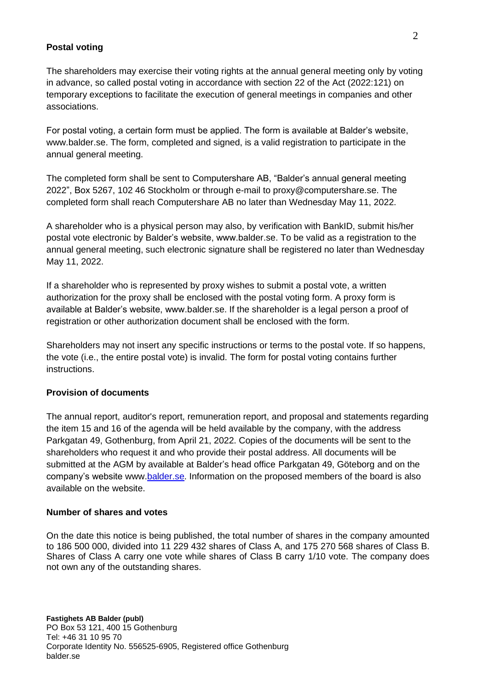#### **Postal voting**

The shareholders may exercise their voting rights at the annual general meeting only by voting in advance, so called postal voting in accordance with section 22 of the Act (2022:121) on temporary exceptions to facilitate the execution of general meetings in companies and other associations.

For postal voting, a certain form must be applied. The form is available at Balder's website, www.balder.se. The form, completed and signed, is a valid registration to participate in the annual general meeting.

The completed form shall be sent to Computershare AB, "Balder's annual general meeting 2022", Box 5267, 102 46 Stockholm or through e-mail to [proxy@computershare.se.](mailto:proxy@computershare.se) The completed form shall reach Computershare AB no later than Wednesday May 11, 2022.

A shareholder who is a physical person may also, by verification with BankID, submit his/her postal vote electronic by Balder's website, www.balder.se. To be valid as a registration to the annual general meeting, such electronic signature shall be registered no later than Wednesday May 11, 2022.

If a shareholder who is represented by proxy wishes to submit a postal vote, a written authorization for the proxy shall be enclosed with the postal voting form. A proxy form is available at Balder's website, www.balder.se. If the shareholder is a legal person a proof of registration or other authorization document shall be enclosed with the form.

Shareholders may not insert any specific instructions or terms to the postal vote. If so happens, the vote (i.e., the entire postal vote) is invalid. The form for postal voting contains further instructions.

#### **Provision of documents**

The annual report, auditor's report, remuneration report, and proposal and statements regarding the item 15 and 16 of the agenda will be held available by the company, with the address Parkgatan 49, Gothenburg, from April 21, 2022. Copies of the documents will be sent to the shareholders who request it and who provide their postal address. All documents will be submitted at the AGM by available at Balder's head office Parkgatan 49, Göteborg and on the company's website www.balder.se. Information on the proposed members of the board is also available on the website.

#### **Number of shares and votes**

On the date this notice is being published, the total number of shares in the company amounted to 186 500 000, divided into 11 229 432 shares of Class A, and 175 270 568 shares of Class B. Shares of Class A carry one vote while shares of Class B carry 1/10 vote. The company does not own any of the outstanding shares.

**Fastighets AB Balder (publ)** PO Box 53 121, 400 15 Gothenburg Tel: +46 31 10 95 70 Corporate Identity No. 556525-6905, Registered office Gothenburg [balder.se](http://www.balder.se/)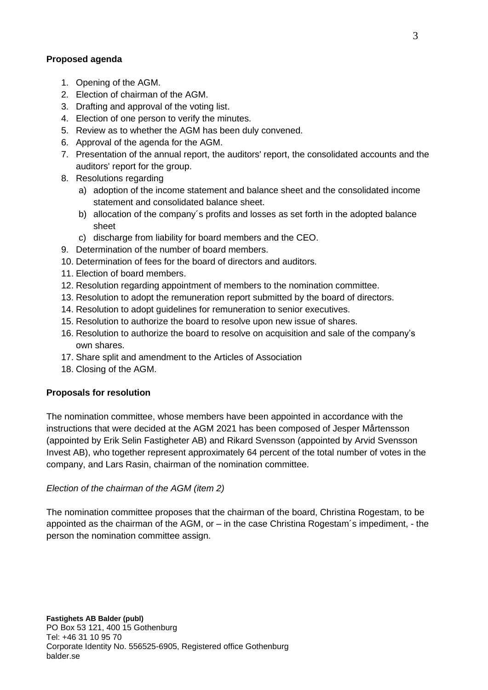## **Proposed agenda**

- 1. Opening of the AGM.
- 2. Election of chairman of the AGM.
- 3. Drafting and approval of the voting list.
- 4. Election of one person to verify the minutes.
- 5. Review as to whether the AGM has been duly convened.
- 6. Approval of the agenda for the AGM.
- 7. Presentation of the annual report, the auditors' report, the consolidated accounts and the auditors' report for the group.
- 8. Resolutions regarding
	- a) adoption of the income statement and balance sheet and the consolidated income statement and consolidated balance sheet.
	- b) allocation of the company´s profits and losses as set forth in the adopted balance sheet
	- c) discharge from liability for board members and the CEO.
- 9. Determination of the number of board members.
- 10. Determination of fees for the board of directors and auditors.
- 11. Election of board members.
- 12. Resolution regarding appointment of members to the nomination committee.
- 13. Resolution to adopt the remuneration report submitted by the board of directors.
- 14. Resolution to adopt guidelines for remuneration to senior executives.
- 15. Resolution to authorize the board to resolve upon new issue of shares.
- 16. Resolution to authorize the board to resolve on acquisition and sale of the company's own shares.
- 17. Share split and amendment to the Articles of Association
- 18. Closing of the AGM.

## **Proposals for resolution**

The nomination committee, whose members have been appointed in accordance with the instructions that were decided at the AGM 2021 has been composed of Jesper Mårtensson (appointed by Erik Selin Fastigheter AB) and Rikard Svensson (appointed by Arvid Svensson Invest AB), who together represent approximately 64 percent of the total number of votes in the company, and Lars Rasin, chairman of the nomination committee.

## *Election of the chairman of the AGM (item 2)*

The nomination committee proposes that the chairman of the board, Christina Rogestam, to be appointed as the chairman of the AGM, or – in the case Christina Rogestam´s impediment, - the person the nomination committee assign.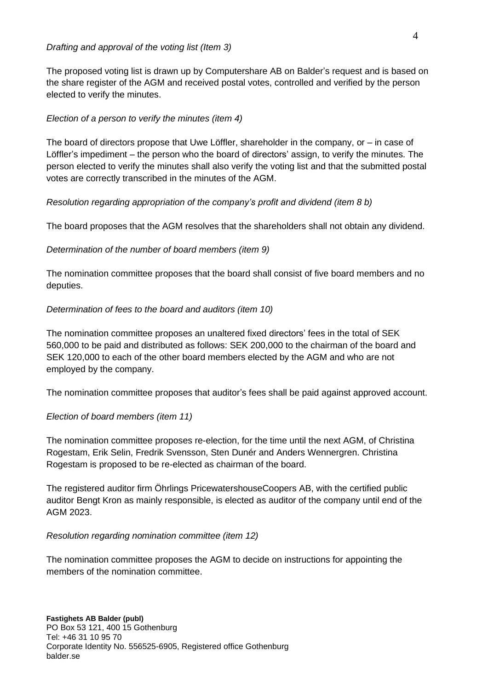The proposed voting list is drawn up by Computershare AB on Balder's request and is based on the share register of the AGM and received postal votes, controlled and verified by the person elected to verify the minutes.

# *Election of a person to verify the minutes (item 4)*

The board of directors propose that Uwe Löffler, shareholder in the company, or – in case of Löffler's impediment – the person who the board of directors' assign, to verify the minutes. The person elected to verify the minutes shall also verify the voting list and that the submitted postal votes are correctly transcribed in the minutes of the AGM.

# *Resolution regarding appropriation of the company's profit and dividend (item 8 b)*

The board proposes that the AGM resolves that the shareholders shall not obtain any dividend.

# *Determination of the number of board members (item 9)*

The nomination committee proposes that the board shall consist of five board members and no deputies.

# *Determination of fees to the board and auditors (item 10)*

The nomination committee proposes an unaltered fixed directors' fees in the total of SEK 560,000 to be paid and distributed as follows: SEK 200,000 to the chairman of the board and SEK 120,000 to each of the other board members elected by the AGM and who are not employed by the company.

The nomination committee proposes that auditor's fees shall be paid against approved account.

# *Election of board members (item 11)*

The nomination committee proposes re-election, for the time until the next AGM, of Christina Rogestam, Erik Selin, Fredrik Svensson, Sten Dunér and Anders Wennergren. Christina Rogestam is proposed to be re-elected as chairman of the board.

The registered auditor firm Öhrlings PricewatershouseCoopers AB, with the certified public auditor Bengt Kron as mainly responsible, is elected as auditor of the company until end of the AGM 2023.

## *Resolution regarding nomination committee (item 12)*

The nomination committee proposes the AGM to decide on instructions for appointing the members of the nomination committee.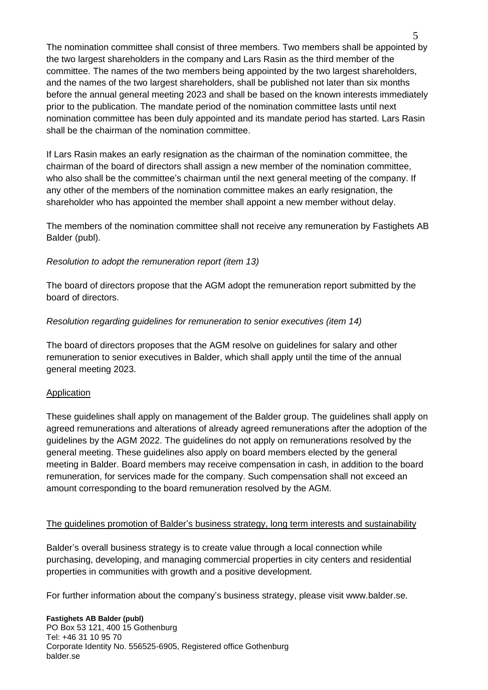The nomination committee shall consist of three members. Two members shall be appointed by the two largest shareholders in the company and Lars Rasin as the third member of the committee. The names of the two members being appointed by the two largest shareholders, and the names of the two largest shareholders, shall be published not later than six months before the annual general meeting 2023 and shall be based on the known interests immediately prior to the publication. The mandate period of the nomination committee lasts until next nomination committee has been duly appointed and its mandate period has started. Lars Rasin shall be the chairman of the nomination committee.

If Lars Rasin makes an early resignation as the chairman of the nomination committee, the chairman of the board of directors shall assign a new member of the nomination committee, who also shall be the committee's chairman until the next general meeting of the company. If any other of the members of the nomination committee makes an early resignation, the shareholder who has appointed the member shall appoint a new member without delay.

The members of the nomination committee shall not receive any remuneration by Fastighets AB Balder (publ).

### *Resolution to adopt the remuneration report (item 13)*

The board of directors propose that the AGM adopt the remuneration report submitted by the board of directors.

### *Resolution regarding guidelines for remuneration to senior executives (item 14)*

The board of directors proposes that the AGM resolve on guidelines for salary and other remuneration to senior executives in Balder, which shall apply until the time of the annual general meeting 2023.

#### Application

These guidelines shall apply on management of the Balder group. The guidelines shall apply on agreed remunerations and alterations of already agreed remunerations after the adoption of the guidelines by the AGM 2022. The guidelines do not apply on remunerations resolved by the general meeting. These guidelines also apply on board members elected by the general meeting in Balder. Board members may receive compensation in cash, in addition to the board remuneration, for services made for the company. Such compensation shall not exceed an amount corresponding to the board remuneration resolved by the AGM.

#### The guidelines promotion of Balder's business strategy, long term interests and sustainability

Balder's overall business strategy is to create value through a local connection while purchasing, developing, and managing commercial properties in city centers and residential properties in communities with growth and a positive development.

For further information about the company's business strategy, please visit www.balder.se.

#### **Fastighets AB Balder (publ)** PO Box 53 121, 400 15 Gothenburg Tel: +46 31 10 95 70 Corporate Identity No. 556525-6905, Registered office Gothenburg [balder.se](http://www.balder.se/)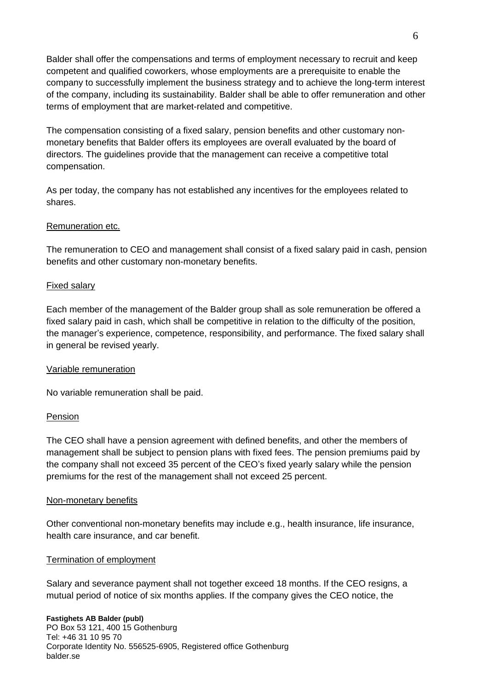Balder shall offer the compensations and terms of employment necessary to recruit and keep competent and qualified coworkers, whose employments are a prerequisite to enable the company to successfully implement the business strategy and to achieve the long-term interest of the company, including its sustainability. Balder shall be able to offer remuneration and other terms of employment that are market-related and competitive.

The compensation consisting of a fixed salary, pension benefits and other customary nonmonetary benefits that Balder offers its employees are overall evaluated by the board of directors. The guidelines provide that the management can receive a competitive total compensation.

As per today, the company has not established any incentives for the employees related to shares.

#### Remuneration etc.

The remuneration to CEO and management shall consist of a fixed salary paid in cash, pension benefits and other customary non-monetary benefits.

#### Fixed salary

Each member of the management of the Balder group shall as sole remuneration be offered a fixed salary paid in cash, which shall be competitive in relation to the difficulty of the position, the manager's experience, competence, responsibility, and performance. The fixed salary shall in general be revised yearly.

#### Variable remuneration

No variable remuneration shall be paid.

#### Pension

The CEO shall have a pension agreement with defined benefits, and other the members of management shall be subject to pension plans with fixed fees. The pension premiums paid by the company shall not exceed 35 percent of the CEO's fixed yearly salary while the pension premiums for the rest of the management shall not exceed 25 percent.

#### Non-monetary benefits

Other conventional non-monetary benefits may include e.g., health insurance, life insurance, health care insurance, and car benefit.

#### Termination of employment

Salary and severance payment shall not together exceed 18 months. If the CEO resigns, a mutual period of notice of six months applies. If the company gives the CEO notice, the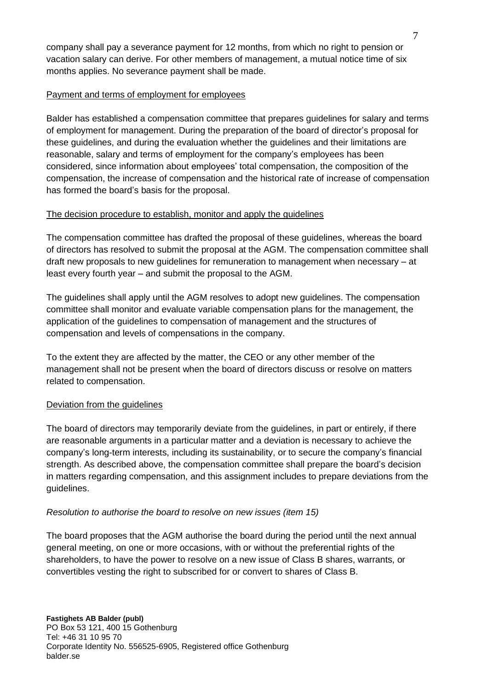company shall pay a severance payment for 12 months, from which no right to pension or vacation salary can derive. For other members of management, a mutual notice time of six months applies. No severance payment shall be made.

## Payment and terms of employment for employees

Balder has established a compensation committee that prepares guidelines for salary and terms of employment for management. During the preparation of the board of director's proposal for these guidelines, and during the evaluation whether the guidelines and their limitations are reasonable, salary and terms of employment for the company's employees has been considered, since information about employees' total compensation, the composition of the compensation, the increase of compensation and the historical rate of increase of compensation has formed the board's basis for the proposal.

# The decision procedure to establish, monitor and apply the guidelines

The compensation committee has drafted the proposal of these guidelines, whereas the board of directors has resolved to submit the proposal at the AGM. The compensation committee shall draft new proposals to new guidelines for remuneration to management when necessary – at least every fourth year – and submit the proposal to the AGM.

The guidelines shall apply until the AGM resolves to adopt new guidelines. The compensation committee shall monitor and evaluate variable compensation plans for the management, the application of the guidelines to compensation of management and the structures of compensation and levels of compensations in the company.

To the extent they are affected by the matter, the CEO or any other member of the management shall not be present when the board of directors discuss or resolve on matters related to compensation.

## Deviation from the guidelines

The board of directors may temporarily deviate from the guidelines, in part or entirely, if there are reasonable arguments in a particular matter and a deviation is necessary to achieve the company's long-term interests, including its sustainability, or to secure the company's financial strength. As described above, the compensation committee shall prepare the board's decision in matters regarding compensation, and this assignment includes to prepare deviations from the guidelines.

## *Resolution to authorise the board to resolve on new issues (item 15)*

The board proposes that the AGM authorise the board during the period until the next annual general meeting, on one or more occasions, with or without the preferential rights of the shareholders, to have the power to resolve on a new issue of Class B shares, warrants, or convertibles vesting the right to subscribed for or convert to shares of Class B.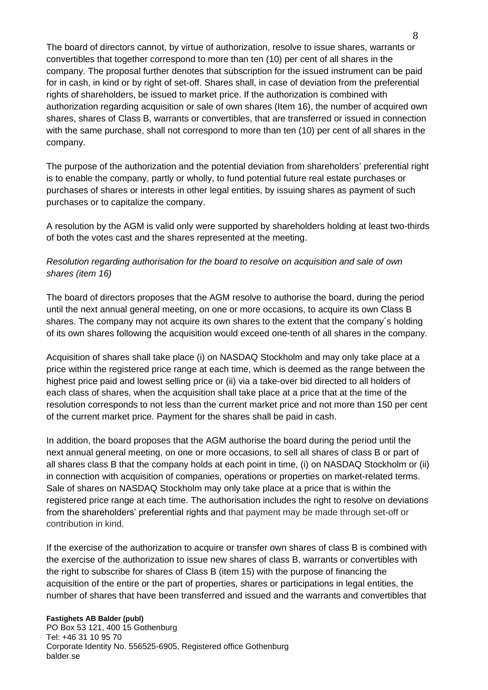The board of directors cannot, by virtue of authorization, resolve to issue shares, warrants or convertibles that together correspond to more than ten (10) per cent of all shares in the company. The proposal further denotes that subscription for the issued instrument can be paid for in cash, in kind or by right of set-off. Shares shall, in case of deviation from the preferential rights of shareholders, be issued to market price. If the authorization is combined with authorization regarding acquisition or sale of own shares (Item 16), the number of acquired own shares, shares of Class B, warrants or convertibles, that are transferred or issued in connection with the same purchase, shall not correspond to more than ten (10) per cent of all shares in the company.

The purpose of the authorization and the potential deviation from shareholders' preferential right is to enable the company, partly or wholly, to fund potential future real estate purchases or purchases of shares or interests in other legal entities, by issuing shares as payment of such purchases or to capitalize the company.

A resolution by the AGM is valid only were supported by shareholders holding at least two-thirds of both the votes cast and the shares represented at the meeting.

# *Resolution regarding authorisation for the board to resolve on acquisition and sale of own shares (item 16)*

The board of directors proposes that the AGM resolve to authorise the board, during the period until the next annual general meeting, on one or more occasions, to acquire its own Class B shares. The company may not acquire its own shares to the extent that the company´s holding of its own shares following the acquisition would exceed one-tenth of all shares in the company.

Acquisition of shares shall take place (i) on NASDAQ Stockholm and may only take place at a price within the registered price range at each time, which is deemed as the range between the highest price paid and lowest selling price or (ii) via a take-over bid directed to all holders of each class of shares, when the acquisition shall take place at a price that at the time of the resolution corresponds to not less than the current market price and not more than 150 per cent of the current market price. Payment for the shares shall be paid in cash.

In addition, the board proposes that the AGM authorise the board during the period until the next annual general meeting, on one or more occasions, to sell all shares of class B or part of all shares class B that the company holds at each point in time, (i) on NASDAQ Stockholm or (ii) in connection with acquisition of companies, operations or properties on market-related terms. Sale of shares on NASDAQ Stockholm may only take place at a price that is within the registered price range at each time. The authorisation includes the right to resolve on deviations from the shareholders' preferential rights and that payment may be made through set-off or contribution in kind.

If the exercise of the authorization to acquire or transfer own shares of class B is combined with the exercise of the authorization to issue new shares of class B, warrants or convertibles with the right to subscribe for shares of Class B (item 15) with the purpose of financing the acquisition of the entire or the part of properties, shares or participations in legal entities, the number of shares that have been transferred and issued and the warrants and convertibles that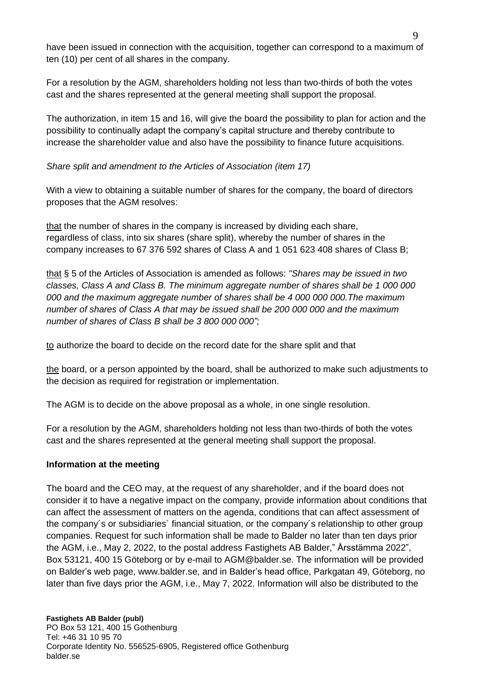have been issued in connection with the acquisition, together can correspond to a maximum of ten (10) per cent of all shares in the company.

For a resolution by the AGM, shareholders holding not less than two-thirds of both the votes cast and the shares represented at the general meeting shall support the proposal.

The authorization, in item 15 and 16, will give the board the possibility to plan for action and the possibility to continually adapt the company's capital structure and thereby contribute to increase the shareholder value and also have the possibility to finance future acquisitions.

## *Share split and amendment to the Articles of Association (item 17)*

With a view to obtaining a suitable number of shares for the company, the board of directors proposes that the AGM resolves:

that the number of shares in the company is increased by dividing each share, regardless of class, into six shares (share split), whereby the number of shares in the company increases to 67 376 592 shares of Class A and 1 051 623 408 shares of Class B;

that § 5 of the Articles of Association is amended as follows: *"Shares may be issued in two classes, Class A and Class B. The minimum aggregate number of shares shall be 1 000 000 000 and the maximum aggregate number of shares shall be 4 000 000 000.The maximum number of shares of Class A that may be issued shall be 200 000 000 and the maximum number of shares of Class B shall be 3 800 000 000";*

to authorize the board to decide on the record date for the share split and that

the board, or a person appointed by the board, shall be authorized to make such adjustments to the decision as required for registration or implementation.

The AGM is to decide on the above proposal as a whole, in one single resolution.

For a resolution by the AGM, shareholders holding not less than two-thirds of both the votes cast and the shares represented at the general meeting shall support the proposal.

#### **Information at the meeting**

The board and the CEO may, at the request of any shareholder, and if the board does not consider it to have a negative impact on the company, provide information about conditions that can affect the assessment of matters on the agenda, conditions that can affect assessment of the company´s or subsidiaries´ financial situation, or the company´s relationship to other group companies. Request for such information shall be made to Balder no later than ten days prior the AGM, i.e., May 2, 2022, to the postal address Fastighets AB Balder," Årsstämma 2022", Box 53121, 400 15 Göteborg or by e-mail to AGM@balder.se. The information will be provided on Balder's web page, [www.balder.se,](http://www.balder.se/) and in Balder's head office, Parkgatan 49, Göteborg, no later than five days prior the AGM, i.e., May 7, 2022. Information will also be distributed to the